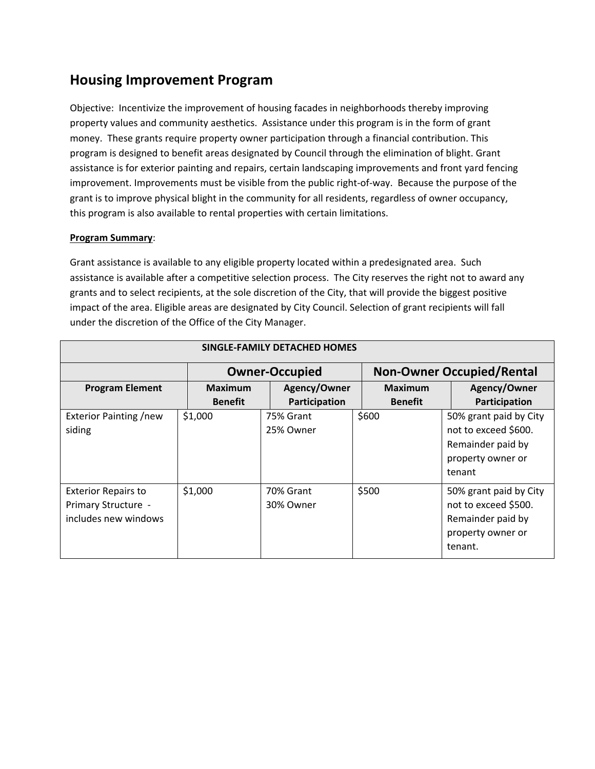# **Housing Improvement Program**

Objective: Incentivize the improvement of housing facades in neighborhoods thereby improving property values and community aesthetics. Assistance under this program is in the form of grant money. These grants require property owner participation through a financial contribution. This program is designed to benefit areas designated by Council through the elimination of blight. Grant assistance is for exterior painting and repairs, certain landscaping improvements and front yard fencing improvement. Improvements must be visible from the public right-of-way. Because the purpose of the grant is to improve physical blight in the community for all residents, regardless of owner occupancy, this program is also available to rental properties with certain limitations.

### **Program Summary**:

Grant assistance is available to any eligible property located within a predesignated area. Such assistance is available after a competitive selection process. The City reserves the right not to award any grants and to select recipients, at the sole discretion of the City, that will provide the biggest positive impact of the area. Eligible areas are designated by City Council. Selection of grant recipients will fall under the discretion of the Office of the City Manager.

| SINGLE-FAMILY DETACHED HOMES                                              |                                  |                               |                                  |                                                                                                     |  |
|---------------------------------------------------------------------------|----------------------------------|-------------------------------|----------------------------------|-----------------------------------------------------------------------------------------------------|--|
|                                                                           |                                  | <b>Owner-Occupied</b>         |                                  | <b>Non-Owner Occupied/Rental</b>                                                                    |  |
| <b>Program Element</b>                                                    | <b>Maximum</b><br><b>Benefit</b> | Agency/Owner<br>Participation | <b>Maximum</b><br><b>Benefit</b> | Agency/Owner<br>Participation                                                                       |  |
| <b>Exterior Painting /new</b><br>siding                                   | \$1,000                          | 75% Grant<br>25% Owner        | \$600                            | 50% grant paid by City<br>not to exceed \$600.<br>Remainder paid by<br>property owner or<br>tenant  |  |
| <b>Exterior Repairs to</b><br>Primary Structure -<br>includes new windows | \$1,000                          | 70% Grant<br>30% Owner        | \$500                            | 50% grant paid by City<br>not to exceed \$500.<br>Remainder paid by<br>property owner or<br>tenant. |  |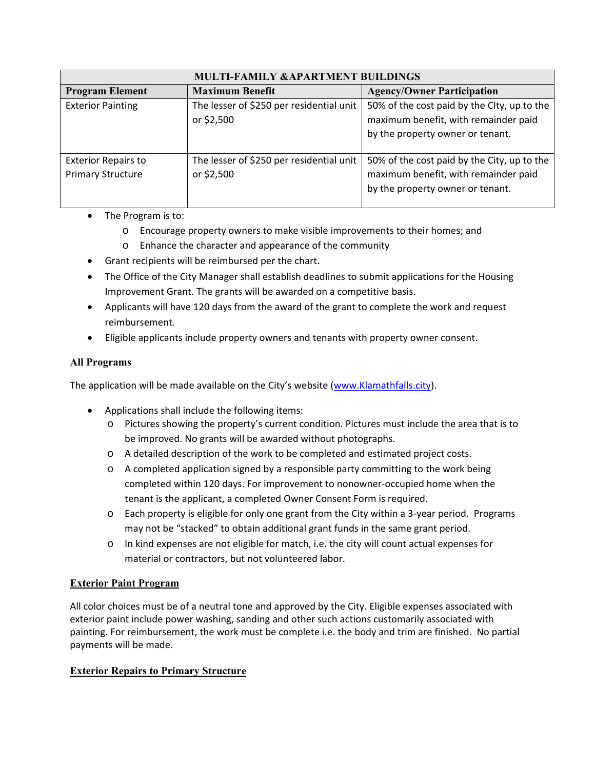| <b>MULTI-FAMILY &amp;APARTMENT BUILDINGS</b>           |                                                        |                                                                                                                         |  |  |
|--------------------------------------------------------|--------------------------------------------------------|-------------------------------------------------------------------------------------------------------------------------|--|--|
| <b>Program Element</b>                                 | <b>Maximum Benefit</b>                                 | <b>Agency/Owner Participation</b>                                                                                       |  |  |
| <b>Exterior Painting</b>                               | The lesser of \$250 per residential unit<br>or \$2,500 | 50% of the cost paid by the Clty, up to the<br>maximum benefit, with remainder paid<br>by the property owner or tenant. |  |  |
| <b>Exterior Repairs to</b><br><b>Primary Structure</b> | The lesser of \$250 per residential unit<br>or \$2,500 | 50% of the cost paid by the City, up to the<br>maximum benefit, with remainder paid<br>by the property owner or tenant. |  |  |

- The Program is to:
	- o Encourage property owners to make visible improvements to their homes; and
	- o Enhance the character and appearance of the community
- Grant recipients will be reimbursed per the chart.
- The Office of the City Manager shall establish deadlines to submit applications for the Housing Improvement Grant. The grants will be awarded on a competitive basis.
- Applicants will have 120 days from the award of the grant to complete the work and request reimbursement.
- Eligible applicants include property owners and tenants with property owner consent.

# **All Programs**

The application will be made available on the City's website (www.Klamathfalls.city).

- Applications shall include the following items:
	- o Pictures showing the property's current condition. Pictures must include the area that is to be improved. No grants will be awarded without photographs.
	- o A detailed description of the work to be completed and estimated project costs.
	- $\circ$  A completed application signed by a responsible party committing to the work being completed within 120 days. For improvement to nonowner‐occupied home when the tenant is the applicant, a completed Owner Consent Form is required.
	- o Each property is eligible for only one grant from the City within a 3‐year period. Programs may not be "stacked" to obtain additional grant funds in the same grant period.
	- o In kind expenses are not eligible for match, i.e. the city will count actual expenses for material or contractors, but not volunteered labor.

## **Exterior Paint Program**

All color choices must be of a neutral tone and approved by the City. Eligible expenses associated with exterior paint include power washing, sanding and other such actions customarily associated with painting. For reimbursement, the work must be complete i.e. the body and trim are finished. No partial payments will be made.

# **Exterior Repairs to Primary Structure**